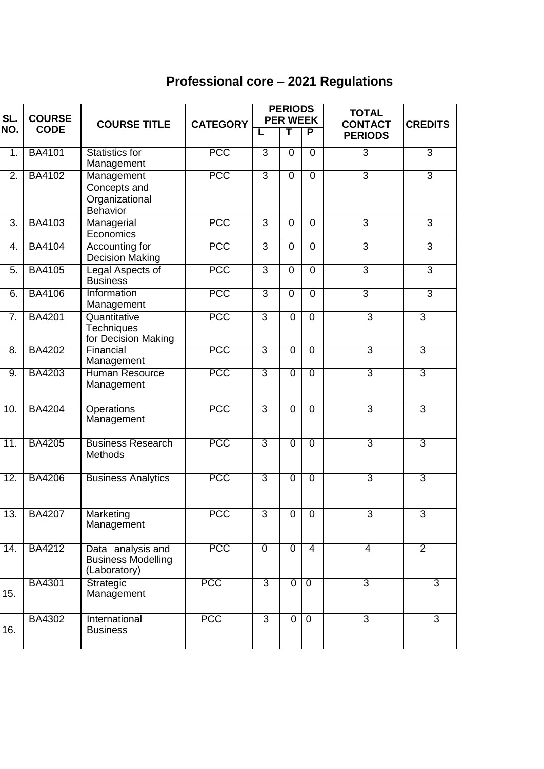## **Professional core – 2021 Regulations**

| SL.               | <b>COURSE</b> | <b>COURSE TITLE</b>                                             | <b>CATEGORY</b> | <b>PERIODS</b><br><b>PER WEEK</b> |                |                | <b>TOTAL</b><br><b>CONTACT</b> | <b>CREDITS</b> |
|-------------------|---------------|-----------------------------------------------------------------|-----------------|-----------------------------------|----------------|----------------|--------------------------------|----------------|
| NO.               | <b>CODE</b>   |                                                                 |                 | L                                 | T              | P              | <b>PERIODS</b>                 |                |
| 1.                | <b>BA4101</b> | <b>Statistics for</b><br>Management                             | <b>PCC</b>      | 3                                 | $\overline{0}$ | $\overline{0}$ | $\overline{3}$                 | $\overline{3}$ |
| $\overline{2}$ .  | <b>BA4102</b> | Management<br>Concepts and<br>Organizational<br><b>Behavior</b> | <b>PCC</b>      | $\overline{3}$                    | $\mathbf 0$    | $\overline{0}$ | $\overline{3}$                 | $\overline{3}$ |
| 3.                | <b>BA4103</b> | Managerial<br>Economics                                         | <b>PCC</b>      | $\overline{3}$                    | $\overline{0}$ | $\mathbf 0$    | $\overline{3}$                 | $\overline{3}$ |
| 4.                | <b>BA4104</b> | Accounting for<br><b>Decision Making</b>                        | <b>PCC</b>      | $\overline{3}$                    | $\overline{0}$ | $\overline{0}$ | 3                              | $\overline{3}$ |
| $\overline{5}$ .  | <b>BA4105</b> | Legal Aspects of<br><b>Business</b>                             | <b>PCC</b>      | $\overline{3}$                    | $\overline{0}$ | $\overline{0}$ | 3                              | $\overline{3}$ |
| 6.                | <b>BA4106</b> | Information<br>Management                                       | <b>PCC</b>      | $\overline{3}$                    | $\mathbf 0$    | $\overline{0}$ | $\overline{3}$                 | $\overline{3}$ |
| 7.                | <b>BA4201</b> | Quantitative<br><b>Techniques</b><br>for Decision Making        | <b>PCC</b>      | $\overline{3}$                    | $\mathbf 0$    | $\overline{0}$ | $\overline{3}$                 | $\overline{3}$ |
| 8.                | <b>BA4202</b> | Financial<br>Management                                         | <b>PCC</b>      | $\overline{3}$                    | $\overline{0}$ | $\overline{0}$ | $\overline{3}$                 | $\overline{3}$ |
| 9.                | <b>BA4203</b> | <b>Human Resource</b><br>Management                             | <b>PCC</b>      | 3                                 | $\overline{0}$ | $\overline{0}$ | 3                              | 3              |
| 10.               | <b>BA4204</b> | <b>Operations</b><br>Management                                 | <b>PCC</b>      | $\overline{3}$                    | $\overline{0}$ | $\overline{0}$ | $\overline{3}$                 | $\overline{3}$ |
| 11.               | <b>BA4205</b> | <b>Business Research</b><br><b>Methods</b>                      | <b>PCC</b>      | 3                                 | $\overline{0}$ | $\overline{0}$ | 3                              | $\overline{3}$ |
| 12.               | <b>BA4206</b> | <b>Business Analytics</b>                                       | <b>PCC</b>      | 3                                 | $\overline{0}$ | $\overline{0}$ | 3                              | 3              |
| 13.               | <b>BA4207</b> | Marketing<br>Management                                         | <b>PCC</b>      | 3                                 | 0              | $\mathbf 0$    | 3                              | 3              |
| $\overline{14}$ . | <b>BA4212</b> | Data analysis and<br><b>Business Modelling</b><br>(Laboratory)  | <b>PCC</b>      | $\overline{0}$                    | $\overline{0}$ | $\overline{4}$ | $\overline{4}$                 | $\overline{2}$ |
| 15.               | <b>BA4301</b> | Strategic<br>Management                                         | <b>PCC</b>      | $\overline{3}$                    | $\overline{0}$ | $\overline{0}$ | $\overline{3}$                 | $\overline{3}$ |
| 16.               | BA4302        | International<br><b>Business</b>                                | <b>PCC</b>      | $\overline{3}$                    | $\overline{0}$ | $\overline{0}$ | $\overline{3}$                 | $\overline{3}$ |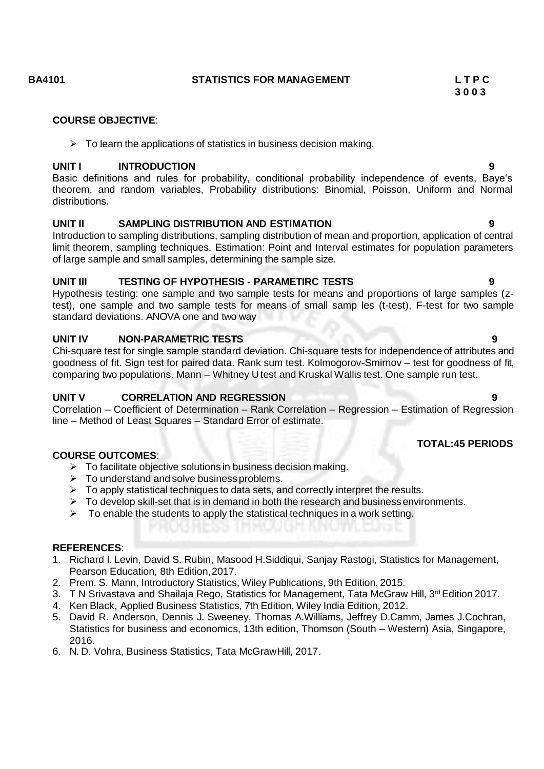### **BA4101 STATISTICS FOR MANAGEMENT L T P C**

**3 0 0 3**

#### **COURSE OBJECTIVE**:

 $\triangleright$  To learn the applications of statistics in business decision making.

### **UNIT I INTRODUCTION 9**

Basic definitions and rules for probability, conditional probability independence of events, Baye's theorem, and random variables, Probability distributions: Binomial, Poisson, Uniform and Normal distributions.

### **UNIT II SAMPLING DISTRIBUTION AND ESTIMATION 9**

Introduction to sampling distributions, sampling distribution of mean and proportion, application of central limit theorem, sampling techniques. Estimation: Point and Interval estimates for population parameters of large sample and small samples, determining the sample size.

### **UNIT III TESTING OF HYPOTHESIS - PARAMETIRC TESTS 9**

Hypothesis testing: one sample and two sample tests for means and proportions of large samples (ztest), one sample and two sample tests for means of small samp les (t-test), F-test for two sample standard deviations. ANOVA one and two way

### **UNIT IV NON-PARAMETRIC TESTS 9**

Chi-square test for single sample standard deviation. Chi-square tests for independence of attributes and goodness of fit. Sign test for paired data. Rank sum test. Kolmogorov-Smirnov – test for goodness of fit, comparing two populations. Mann – Whitney U test and Kruskal Wallis test. One sample run test.

### **UNIT V CORRELATION AND REGRESSION 9**

Correlation – Coefficient of Determination – Rank Correlation – Regression – Estimation of Regression line – Method of Least Squares – Standard Error of estimate.

### **TOTAL:45 PERIODS**

### **COURSE OUTCOMES**:

- $\triangleright$  To facilitate objective solutions in business decision making.
- $\triangleright$  To understand and solve business problems.
- $\triangleright$  To apply statistical techniques to data sets, and correctly interpret the results.
- $\triangleright$  To develop skill-set that is in demand in both the research and business environments.
- $\triangleright$  To enable the students to apply the statistical techniques in a work setting.

### **REFERENCES**:

- 1. Richard I. Levin, David S. Rubin, Masood H.Siddiqui, Sanjay Rastogi, Statistics for Management, Pearson Education, 8th Edition,2017.
- 2. Prem. S. Mann, Introductory Statistics, Wiley Publications, 9th Edition, 2015.
- 3. T N Srivastava and Shailaja Rego, Statistics for Management, Tata McGraw Hill, 3<sup>rd</sup> Edition 2017.
- 4. Ken Black, Applied Business Statistics, 7th Edition, Wiley India Edition, 2012.
- 5. David R. Anderson, Dennis J. Sweeney, Thomas A.Williams, Jeffrey D.Camm, James J.Cochran, Statistics for business and economics, 13th edition, Thomson (South – Western) Asia, Singapore, 2016.
- 6. N. D. Vohra, Business Statistics, Tata McGrawHill, 2017.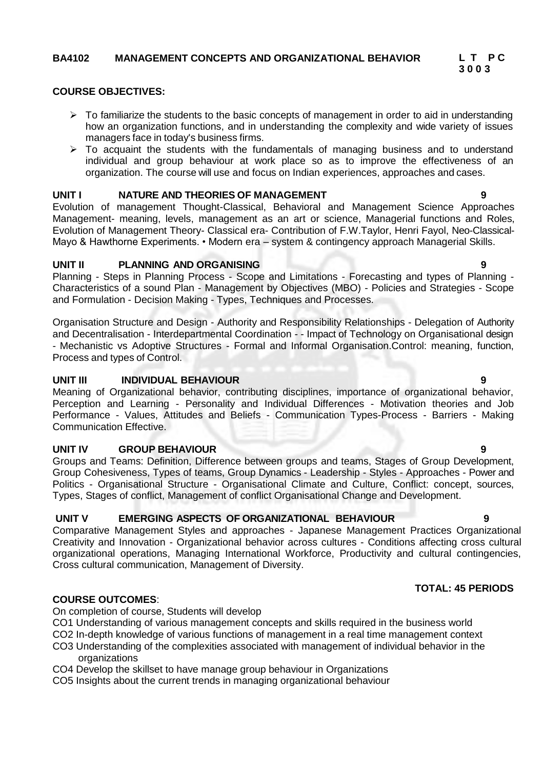### **BA4102 MANAGEMENT CONCEPTS AND ORGANIZATIONAL BEHAVIOR L T P C**

#### **COURSE OBJECTIVES:**

- $\triangleright$  To familiarize the students to the basic concepts of management in order to aid in understanding how an organization functions, and in understanding the complexity and wide variety of issues managers face in today's business firms.
- $\triangleright$  To acquaint the students with the fundamentals of managing business and to understand individual and group behaviour at work place so as to improve the effectiveness of an organization. The course will use and focus on Indian experiences, approaches and cases.

### **UNIT I NATURE AND THEORIES OF MANAGEMENT 9**

Evolution of management Thought-Classical, Behavioral and Management Science Approaches Management- meaning, levels, management as an art or science, Managerial functions and Roles, Evolution of Management Theory- Classical era- Contribution of F.W.Taylor, Henri Fayol, Neo-Classical-Mayo & Hawthorne Experiments. • Modern era – system & contingency approach Managerial Skills.

### **UNIT II PLANNING AND ORGANISING 9**

Planning - Steps in Planning Process - Scope and Limitations - Forecasting and types of Planning - Characteristics of a sound Plan - Management by Objectives (MBO) - Policies and Strategies - Scope and Formulation - Decision Making - Types, Techniques and Processes.

Organisation Structure and Design - Authority and Responsibility Relationships - Delegation of Authority and Decentralisation - Interdepartmental Coordination - - Impact of Technology on Organisational design - Mechanistic vs Adoptive Structures - Formal and Informal Organisation.Control: meaning, function, Process and types of Control.

#### **UNIT III INDIVIDUAL BEHAVIOUR 9**

Meaning of Organizational behavior, contributing disciplines, importance of organizational behavior, Perception and Learning - Personality and Individual Differences - Motivation theories and Job Performance - Values, Attitudes and Beliefs - Communication Types-Process - Barriers - Making Communication Effective.

#### **UNIT IV GROUP BEHAVIOUR 9**

Groups and Teams: Definition, Difference between groups and teams, Stages of Group Development, Group Cohesiveness, Types of teams, Group Dynamics - Leadership - Styles - Approaches - Power and Politics - Organisational Structure - Organisational Climate and Culture, Conflict: concept, sources, Types, Stages of conflict, Management of conflict Organisational Change and Development.

### **UNIT V EMERGING ASPECTS OF ORGANIZATIONAL BEHAVIOUR 9**

Comparative Management Styles and approaches - Japanese Management Practices Organizational Creativity and Innovation - Organizational behavior across cultures - Conditions affecting cross cultural organizational operations, Managing International Workforce, Productivity and cultural contingencies, Cross cultural communication, Management of Diversity.

### **COURSE OUTCOMES**:

On completion of course, Students will develop

CO1 Understanding of various management concepts and skills required in the business world

CO2 In-depth knowledge of various functions of management in a real time management context

- CO3 Understanding of the complexities associated with management of individual behavior in the organizations
- CO4 Develop the skillset to have manage group behaviour in Organizations
- CO5 Insights about the current trends in managing organizational behaviour

### **TOTAL: 45 PERIODS**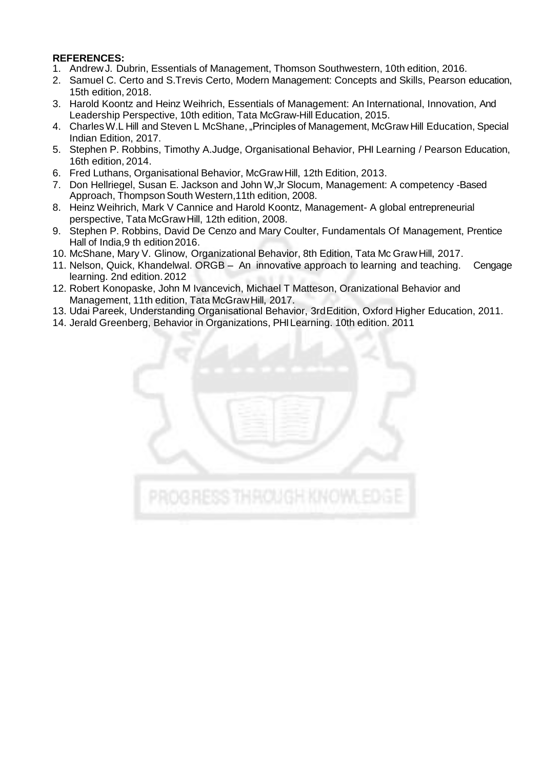### **REFERENCES:**

- 1. AndrewJ. Dubrin, Essentials of Management, Thomson Southwestern, 10th edition, 2016.
- 2. Samuel C. Certo and S.Trevis Certo, Modern Management: Concepts and Skills, Pearson education, 15th edition, 2018.
- 3. Harold Koontz and Heinz Weihrich, Essentials of Management: An International, Innovation, And Leadership Perspective, 10th edition, Tata McGraw-Hill Education, 2015.
- 4. Charles W.L Hill and Steven L McShane, "Principles of Management, McGraw Hill Education, Special Indian Edition, 2017.
- 5. Stephen P. Robbins, Timothy A.Judge, Organisational Behavior, PHI Learning / Pearson Education, 16th edition, 2014.
- 6. Fred Luthans, Organisational Behavior, McGrawHill, 12th Edition, 2013.
- 7. Don Hellriegel, Susan E. Jackson and John W,Jr Slocum, Management: A competency -Based Approach, Thompson South Western, 11th edition, 2008.
- 8. Heinz Weihrich, Mark V Cannice and Harold Koontz, Management- A global entrepreneurial perspective, Tata McGrawHill, 12th edition, 2008.
- 9. Stephen P. Robbins, David De Cenzo and Mary Coulter, Fundamentals Of Management, Prentice Hall of India,9 th edition2016.
- 10. McShane, Mary V. Glinow, Organizational Behavior, 8th Edition, Tata Mc Graw Hill, 2017.
- 11. Nelson, Quick, Khandelwal. ORGB An innovative approach to learning and teaching. Cengage learning. 2nd edition.2012
- 12. Robert Konopaske, John M Ivancevich, Michael T Matteson, Oranizational Behavior and Management, 11th edition, Tata McGraw Hill, 2017.
- 13. Udai Pareek, Understanding Organisational Behavior, 3rdEdition, Oxford Higher Education, 2011.
- 14. Jerald Greenberg, Behavior in Organizations, PHILearning. 10th edition. 2011

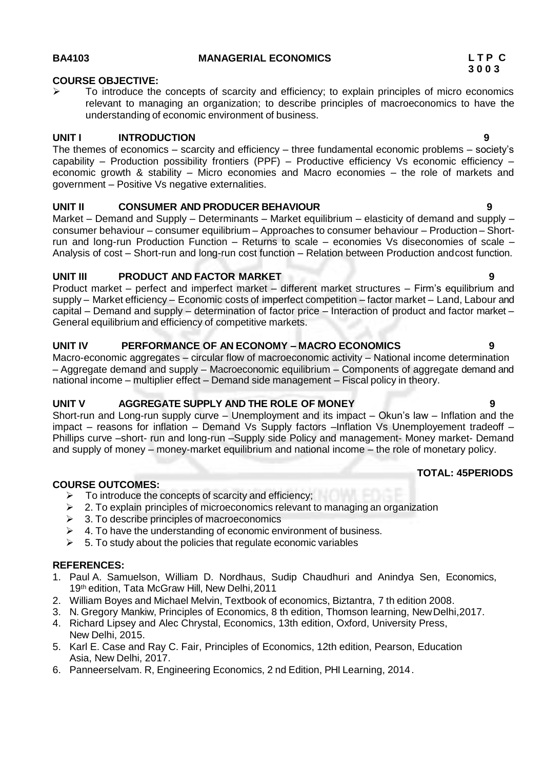### **COURSE OBJECTIVE:**

 $\triangleright$  To introduce the concepts of scarcity and efficiency; to explain principles of micro economics relevant to managing an organization; to describe principles of macroeconomics to have the understanding of economic environment of business.

### **UNIT I INTRODUCTION 9**

The themes of economics – scarcity and efficiency – three fundamental economic problems – society's capability – Production possibility frontiers (PPF) – Productive efficiency Vs economic efficiency – economic growth & stability – Micro economies and Macro economies – the role of markets and government – Positive Vs negative externalities.

### **UNIT II CONSUMER AND PRODUCER BEHAVIOUR 9**

Market – Demand and Supply – Determinants – Market equilibrium – elasticity of demand and supply – consumer behaviour – consumer equilibrium – Approaches to consumer behaviour – Production – Shortrun and long-run Production Function – Returns to scale – economies Vs diseconomies of scale – Analysis of cost – Short-run and long-run cost function – Relation between Production andcost function.

### **UNIT III PRODUCT AND FACTOR MARKET 9**

Product market – perfect and imperfect market – different market structures – Firm's equilibrium and supply – Market efficiency – Economic costs of imperfect competition – factor market – Land, Labour and capital – Demand and supply – determination of factor price – Interaction of product and factor market – General equilibrium and efficiency of competitive markets.

### **UNIT IV PERFORMANCE OF AN ECONOMY – MACRO ECONOMICS 9**

Macro-economic aggregates – circular flow of macroeconomic activity – National income determination – Aggregate demand and supply – Macroeconomic equilibrium – Components of aggregate demand and national income – multiplier effect – Demand side management – Fiscal policy in theory.

### **UNIT V AGGREGATE SUPPLY AND THE ROLE OF MONEY 9**

Short-run and Long-run supply curve – Unemployment and its impact – Okun's law – Inflation and the impact – reasons for inflation – Demand Vs Supply factors –Inflation Vs Unemployement tradeoff – Phillips curve –short- run and long-run –Supply side Policy and management- Money market- Demand and supply of money – money-market equilibrium and national income – the role of monetary policy.

### **COURSE OUTCOMES:**

- $\geq$  To introduce the concepts of scarcity and efficiency;<br> $\geq$  2. To explain principles of microeconomics relevant to
- $\geq$  2. To explain principles of microeconomics relevant to managing an organization <br> $\geq$  3. To describe principles of macroeconomics
- 3. To describe principles of macroeconomics
- $\geq 4$ . To have the understanding of economic environment of business.
- $\geq$  5. To study about the policies that regulate economic variables

### **REFERENCES:**

- 1. Paul A. Samuelson, William D. Nordhaus, Sudip Chaudhuri and Anindya Sen, Economics, 19th edition, Tata McGraw Hill, New Delhi,2011
- 2. William Boyes and Michael Melvin, Textbook of economics, Biztantra, 7 th edition 2008.
- 3. N. Gregory Mankiw, Principles of Economics, 8 th edition, Thomson learning, NewDelhi,2017.
- 4. Richard Lipsey and Alec Chrystal, Economics, 13th edition, Oxford, University Press, New Delhi, 2015.
- 5. Karl E. Case and Ray C. Fair, Principles of Economics, 12th edition, Pearson, Education Asia, New Delhi, 2017.
- 6. Panneerselvam. R, Engineering Economics, 2 nd Edition, PHI Learning, 2014.

**TOTAL: 45PERIODS**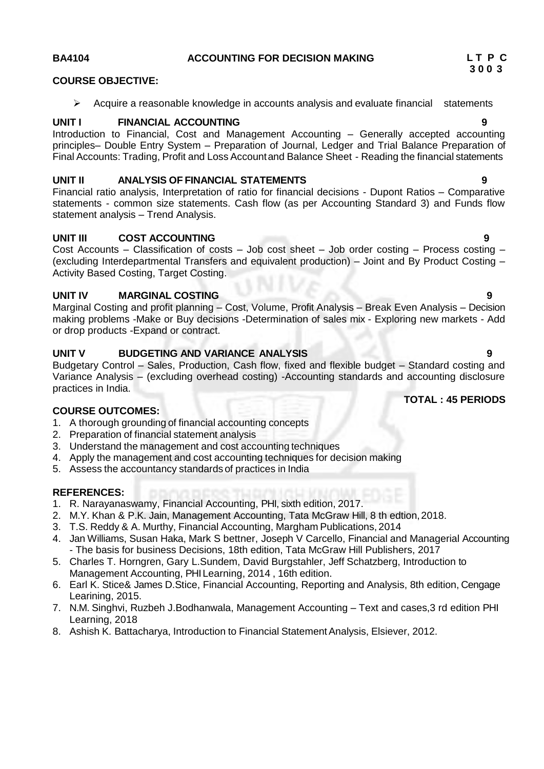### **BA4104 ACCOUNTING FOR DECISION MAKING L T P C**

#### **COURSE OBJECTIVE:**

 $\triangleright$  Acquire a reasonable knowledge in accounts analysis and evaluate financial statements

### **UNIT I FINANCIAL ACCOUNTING 9**

Introduction to Financial, Cost and Management Accounting – Generally accepted accounting principles– Double Entry System – Preparation of Journal, Ledger and Trial Balance Preparation of Final Accounts: Trading, Profit and Loss Accountand Balance Sheet - Reading the financial statements

#### **UNIT II ANALYSIS OF FINANCIAL STATEMENTS 9**

Financial ratio analysis, Interpretation of ratio for financial decisions - Dupont Ratios – Comparative statements - common size statements. Cash flow (as per Accounting Standard 3) and Funds flow statement analysis – Trend Analysis.

#### **UNIT III COST ACCOUNTING 9**

Cost Accounts – Classification of costs – Job cost sheet – Job order costing – Process costing – (excluding Interdepartmental Transfers and equivalent production) – Joint and By Product Costing – Activity Based Costing, Target Costing.

#### **UNIT IV MARGINAL COSTING 9**

Marginal Costing and profit planning – Cost, Volume, Profit Analysis – Break Even Analysis – Decision making problems -Make or Buy decisions -Determination of sales mix - Exploring new markets - Add or drop products -Expand or contract.

### **UNIT V BUDGETING AND VARIANCE ANALYSIS 9**

Budgetary Control – Sales, Production, Cash flow, fixed and flexible budget – Standard costing and Variance Analysis – (excluding overhead costing) -Accounting standards and accounting disclosure practices in India.

#### **COURSE OUTCOMES:**

- 1. A thorough grounding of financial accounting concepts
- 2. Preparation of financial statement analysis
- 3. Understand the management and cost accounting techniques
- 4. Apply the management and cost accounting techniques for decision making
- 5. Assess the accountancy standards of practices in India

#### **REFERENCES:**

- 1. R. Narayanaswamy, Financial Accounting, PHI, sixth edition, 2017.
- 2. M.Y. Khan & P.K. Jain, Management Accounting, Tata McGraw Hill, 8 th edtion,2018.
- 3. T.S. Reddy & A. Murthy, Financial Accounting, Margham Publications, 2014
- 4. Jan Williams, Susan Haka, Mark S bettner, Joseph V Carcello, Financial and Managerial Accounting - The basis for business Decisions, 18th edition, Tata McGraw Hill Publishers, 2017
- 5. Charles T. Horngren, Gary L.Sundem, David Burgstahler, Jeff Schatzberg, Introduction to Management Accounting, PHILearning, 2014 , 16th edition.
- 6. Earl K. Stice& James D.Stice, Financial Accounting, Reporting and Analysis, 8th edition, Cengage Learining, 2015.
- 7. N.M. Singhvi, Ruzbeh J.Bodhanwala, Management Accounting Text and cases,3 rd edition PHI Learning, 2018
- 8. Ashish K. Battacharya, Introduction to Financial Statement Analysis, Elsiever, 2012.

#### **TOTAL : 45 PERIODS**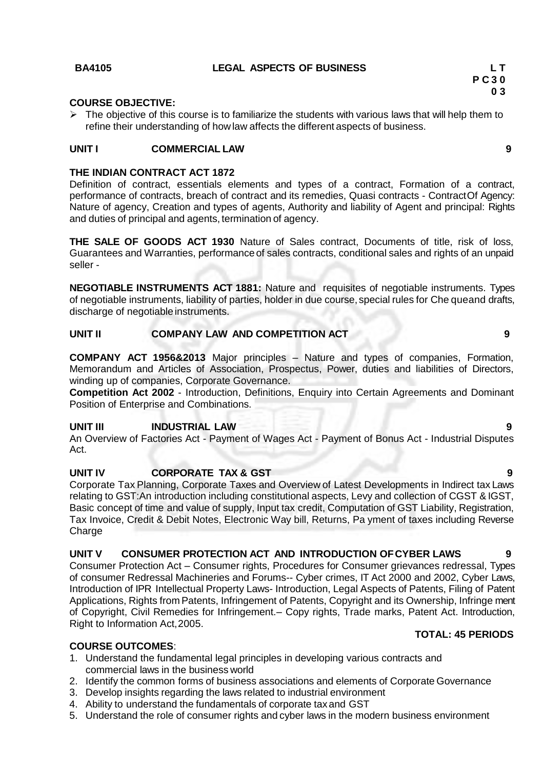#### **BA4105 LEGAL ASPECTS OF BUSINESS L T**

#### **COURSE OBJECTIVE:**

 $\triangleright$  The objective of this course is to familiarize the students with various laws that will help them to refine their understanding of howlaw affects the different aspects of business.

### **UNIT I COMMERCIAL LAW 9**

#### **THE INDIAN CONTRACT ACT 1872**

Definition of contract, essentials elements and types of a contract, Formation of a contract, performance of contracts, breach of contract and its remedies, Quasi contracts - ContractOf Agency: Nature of agency, Creation and types of agents, Authority and liability of Agent and principal: Rights and duties of principal and agents, termination of agency.

**THE SALE OF GOODS ACT 1930** Nature of Sales contract, Documents of title, risk of loss, Guarantees and Warranties, performance of sales contracts, conditional sales and rights of an unpaid seller -

**NEGOTIABLE INSTRUMENTS ACT 1881:** Nature and requisites of negotiable instruments. Types of negotiable instruments, liability of parties, holder in due course,special rules for Che queand drafts, discharge of negotiable instruments.

#### **UNIT II COMPANY LAW AND COMPETITION ACT 9**

**COMPANY ACT 1956&2013** Major principles – Nature and types of companies, Formation, Memorandum and Articles of Association, Prospectus, Power, duties and liabilities of Directors, winding up of companies, Corporate Governance.

**Competition Act 2002** - Introduction, Definitions, Enquiry into Certain Agreements and Dominant Position of Enterprise and Combinations.

#### **UNIT III INDUSTRIAL LAW 9**

An Overview of Factories Act - Payment of Wages Act - Payment of Bonus Act - Industrial Disputes Act.

### **UNIT IV CORPORATE TAX & GST 9**

Corporate Tax Planning, Corporate Taxes and Overview of Latest Developments in Indirect tax Laws relating to GST:An introduction including constitutional aspects, Levy and collection of CGST & IGST, Basic concept of time and value of supply, Input tax credit, Computation of GST Liability, Registration, Tax Invoice, Credit & Debit Notes, Electronic Way bill, Returns, Pa yment of taxes including Reverse **Charge** 

### **UNIT V CONSUMER PROTECTION ACT AND INTRODUCTION OFCYBER LAWS 9**

Consumer Protection Act – Consumer rights, Procedures for Consumer grievances redressal, Types of consumer Redressal Machineries and Forums-- Cyber crimes, IT Act 2000 and 2002, Cyber Laws, Introduction of IPR Intellectual Property Laws- Introduction, Legal Aspects of Patents, Filing of Patent Applications, Rights from Patents, Infringement of Patents, Copyright and its Ownership, Infringe ment of Copyright, Civil Remedies for Infringement.– Copy rights, Trade marks, Patent Act. Introduction, Right to Information Act,2005.

#### **COURSE OUTCOMES**:

- 1. Understand the fundamental legal principles in developing various contracts and commercial laws in the business world
- 2. Identify the common forms of business associations and elements of Corporate Governance
- 3. Develop insights regarding the laws related to industrial environment
- 4. Ability to understand the fundamentals of corporate tax and GST
- 5. Understand the role of consumer rights and cyber laws in the modern business environment

#### **TOTAL: 45 PERIODS**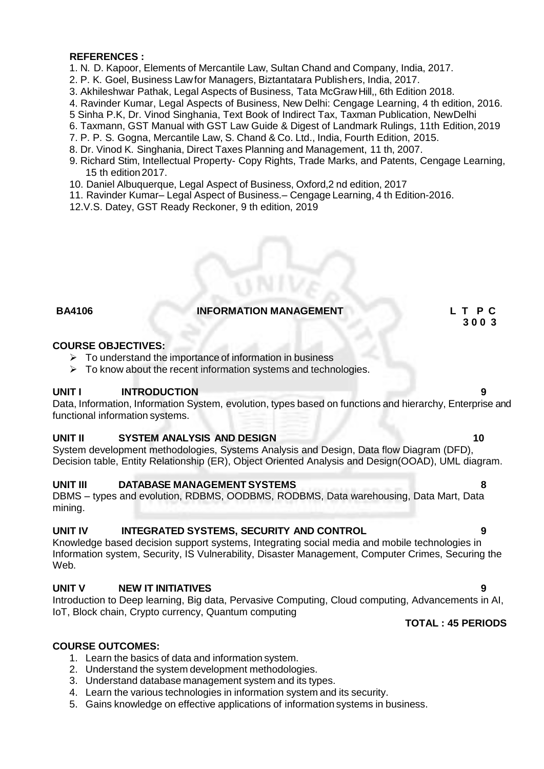#### **REFERENCES :**

- 1. N. D. Kapoor, Elements of Mercantile Law, Sultan Chand and Company, India, 2017.
- 2. P. K. Goel, Business Lawfor Managers, Biztantatara Publishers, India, 2017.
- 3. Akhileshwar Pathak, Legal Aspects of Business, Tata McGrawHill,, 6th Edition 2018.
- 4. Ravinder Kumar, Legal Aspects of Business, New Delhi: Cengage Learning, 4 th edition, 2016.
- 5 Sinha P.K, Dr. Vinod Singhania, Text Book of Indirect Tax, Taxman Publication, NewDelhi
- 6. Taxmann, GST Manual with GST Law Guide & Digest of Landmark Rulings, 11th Edition,2019
- 7. P. P. S. Gogna, Mercantile Law, S. Chand & Co. Ltd., India, Fourth Edition, 2015.
- 8. Dr. Vinod K. Singhania, Direct Taxes Planning and Management, 11 th, 2007.
- 9. Richard Stim, Intellectual Property- Copy Rights, Trade Marks, and Patents, Cengage Learning, 15 th edition2017.
- 10. Daniel Albuquerque, Legal Aspect of Business, Oxford,2 nd edition, 2017
- 11. Ravinder Kumar– Legal Aspect of Business.– Cengage Learning, 4 th Edition-2016.
- 12.V.S. Datey, GST Ready Reckoner, 9 th edition, 2019

#### **BA4106 INFORMATION MANAGEMENT L T P C**

#### **COURSE OBJECTIVES:**

- $\triangleright$  To understand the importance of information in business
- $\triangleright$  To know about the recent information systems and technologies.

#### **UNIT I INTRODUCTION 9**

Data, Information, Information System, evolution, types based on functions and hierarchy, Enterprise and functional information systems.

#### **UNIT II SYSTEM ANALYSIS AND DESIGN 10**

System development methodologies, Systems Analysis and Design, Data flow Diagram (DFD), Decision table, Entity Relationship (ER), Object Oriented Analysis and Design(OOAD), UML diagram.

#### **UNIT III DATABASE MANAGEMENT SYSTEMS 8**

DBMS – types and evolution, RDBMS, OODBMS, RODBMS, Data warehousing, Data Mart, Data mining.

### **UNIT IV INTEGRATED SYSTEMS, SECURITY AND CONTROL 9**

Knowledge based decision support systems, Integrating social media and mobile technologies in Information system, Security, IS Vulnerability, Disaster Management, Computer Crimes, Securing the Web.

### **UNIT V NEW IT INITIATIVES 9**

Introduction to Deep learning, Big data, Pervasive Computing, Cloud computing, Advancements in AI, IoT, Block chain, Crypto currency, Quantum computing

### **TOTAL : 45 PERIODS**

### **COURSE OUTCOMES:**

- 1. Learn the basics of data and information system.
- 2. Understand the system development methodologies.
- 3. Understand database management system and its types.
- 4. Learn the various technologies in information system and its security.
- 5. Gains knowledge on effective applications of information systems in business.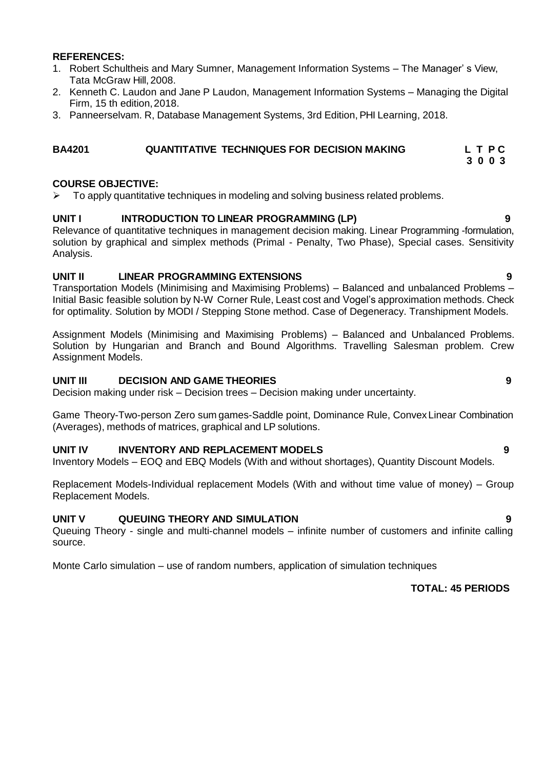#### **REFERENCES:**

- 1. Robert Schultheis and Mary Sumner, Management Information Systems The Manager' s View, Tata McGraw Hill, 2008.
- 2. Kenneth C. Laudon and Jane P Laudon, Management Information Systems Managing the Digital Firm, 15 th edition,2018.
- 3. Panneerselvam. R, Database Management Systems, 3rd Edition, PHI Learning, 2018.

### **BA4201 QUANTITATIVE TECHNIQUES FOR DECISION MAKING L T P C**

#### **COURSE OBJECTIVE:**

 $\triangleright$  To apply quantitative techniques in modeling and solving business related problems.

#### **UNIT I INTRODUCTION TO LINEAR PROGRAMMING (LP) 9**

Relevance of quantitative techniques in management decision making. Linear Programming -formulation, solution by graphical and simplex methods (Primal - Penalty, Two Phase), Special cases. Sensitivity Analysis.

### **UNIT II LINEAR PROGRAMMING EXTENSIONS 9**

Transportation Models (Minimising and Maximising Problems) – Balanced and unbalanced Problems – Initial Basic feasible solution by N-W Corner Rule, Least cost and Vogel's approximation methods. Check for optimality. Solution by MODI / Stepping Stone method. Case of Degeneracy. Transhipment Models.

Assignment Models (Minimising and Maximising Problems) – Balanced and Unbalanced Problems. Solution by Hungarian and Branch and Bound Algorithms. Travelling Salesman problem. Crew Assignment Models.

#### **UNIT III DECISION AND GAME THEORIES 9**

Decision making under risk – Decision trees – Decision making under uncertainty.

Game Theory-Two-person Zero sum games-Saddle point, Dominance Rule, ConvexLinear Combination (Averages), methods of matrices, graphical and LP solutions.

### **UNIT IV INVENTORY AND REPLACEMENT MODELS 9**

Inventory Models – EOQ and EBQ Models (With and without shortages), Quantity Discount Models.

Replacement Models-Individual replacement Models (With and without time value of money) – Group Replacement Models.

### **UNIT V QUEUING THEORY AND SIMULATION 9**

Queuing Theory - single and multi-channel models – infinite number of customers and infinite calling source.

Monte Carlo simulation – use of random numbers, application of simulation techniques

**TOTAL: 45 PERIODS**

- 
-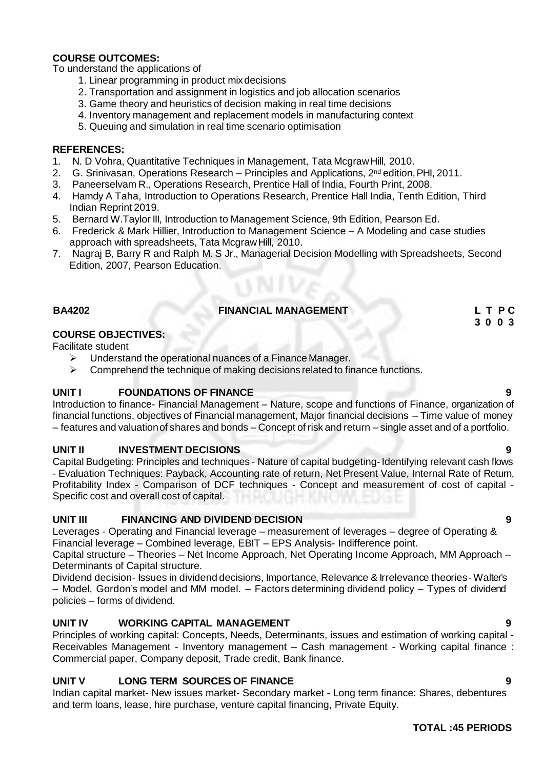### **COURSE OUTCOMES:**

To understand the applications of

- 1. Linear programming in product mixdecisions
- 2. Transportation and assignment in logistics and job allocation scenarios
- 3. Game theory and heuristics of decision making in real time decisions
- 4. Inventory management and replacement models in manufacturing context
- 5. Queuing and simulation in real time scenario optimisation

#### **REFERENCES:**

- 1. N. D Vohra, Quantitative Techniques in Management, Tata McgrawHill, 2010.
- 2. G. Srinivasan, Operations Research Principles and Applications,  $2^{nd}$  edition, PHI, 2011.
- 3. Paneerselvam R., Operations Research, Prentice Hall of India, Fourth Print, 2008.
- 4. Hamdy A Taha, Introduction to Operations Research, Prentice Hall India, Tenth Edition, Third Indian Reprint 2019.
- 5. Bernard W.Taylor III, Introduction to Management Science, 9th Edition, Pearson Ed.
- 6. Frederick & Mark Hillier, Introduction to Management Science A Modeling and case studies approach with spreadsheets, Tata McgrawHill, 2010.
- 7. Nagraj B, Barry R and Ralph M. S Jr., Managerial Decision Modelling with Spreadsheets, Second Edition, 2007, Pearson Education.

### **BA4202 FINANCIAL MANAGEMENT L T P C**

#### **COURSE OBJECTIVES:**

Facilitate student

- $\triangleright$  Understand the operational nuances of a Finance Manager.
- $\triangleright$  Comprehend the technique of making decisions related to finance functions.

### **UNIT I FOUNDATIONS OF FINANCE 9**

Introduction to finance- Financial Management – Nature, scope and functions of Finance, organization of financial functions, objectives of Financial management, Major financial decisions – Time value of money – features and valuationof shares and bonds – Concept of risk and return – single asset and of a portfolio.

### **UNIT II INVESTMENT DECISIONS 9**

Capital Budgeting: Principles and techniques - Nature of capital budgeting-Identifying relevant cash flows - Evaluation Techniques: Payback, Accounting rate of return, Net Present Value, Internal Rate of Return, Profitability Index - Comparison of DCF techniques - Concept and measurement of cost of capital - Specific cost and overall cost of capital.

### **UNIT III FINANCING AND DIVIDEND DECISION 9**

Leverages - Operating and Financial leverage – measurement of leverages – degree of Operating & Financial leverage – Combined leverage, EBIT – EPS Analysis- Indifference point.

Capital structure – Theories – Net Income Approach, Net Operating Income Approach, MM Approach – Determinants of Capital structure.

Dividend decision- Issues in dividend decisions, Importance, Relevance & Irrelevance theories- Walter"s – Model, Gordon"s model and MM model. – Factors determining dividend policy – Types of dividend policies – forms of dividend.

### **UNIT IV WORKING CAPITAL MANAGEMENT 9**

Principles of working capital: Concepts, Needs, Determinants, issues and estimation of working capital - Receivables Management - Inventory management – Cash management - Working capital finance : Commercial paper, Company deposit, Trade credit, Bank finance.

### **UNIT V LONG TERM SOURCES OF FINANCE 9**

Indian capital market- New issues market- Secondary market - Long term finance: Shares, debentures and term loans, lease, hire purchase, venture capital financing, Private Equity.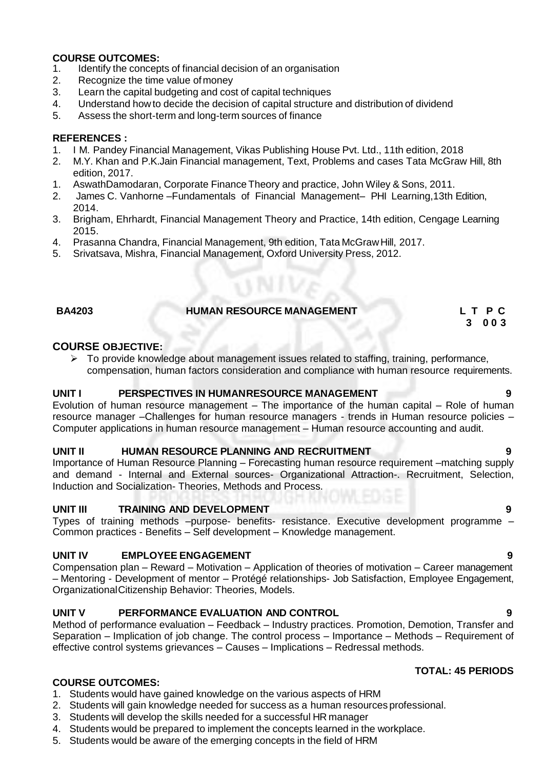# **COURSE OUTCOMES:**<br>1. **Identify the concep**

- Identify the concepts of financial decision of an organisation
- 2. Recognize the time value ofmoney
- 3. Learn the capital budgeting and cost of capital techniques
- 4. Understand howto decide the decision of capital structure and distribution of dividend
- 5. Assess the short-term and long-term sources of finance

### **REFERENCES :**

- 1. I M. Pandey Financial Management, Vikas Publishing House Pvt. Ltd., 11th edition, 2018
- 2. M.Y. Khan and P.K.Jain Financial management, Text, Problems and cases Tata McGraw Hill, 8th edition, 2017.
- 1. AswathDamodaran, Corporate Finance Theory and practice, John Wiley & Sons, 2011.<br>2. James C. Vanhorne Fundamentals of Financial Management– PHI Learning 13th
- 2. James C. Vanhorne –Fundamentals of Financial Management– PHI Learning,13th Edition, 2014.
- 3. Brigham, Ehrhardt, Financial Management Theory and Practice, 14th edition, Cengage Learning 2015.
- 4. Prasanna Chandra, Financial Management, 9th edition, Tata McGrawHill, 2017.
- 5. Srivatsava, Mishra, Financial Management, Oxford University Press, 2012.

### **BA4203 HUMAN RESOURCE MANAGEMENT L T P C**

#### **COURSE OBJECTIVE:**

 $\triangleright$  To provide knowledge about management issues related to staffing, training, performance, compensation, human factors consideration and compliance with human resource requirements.

#### **UNIT I PERSPECTIVES IN HUMANRESOURCE MANAGEMENT 9**

Evolution of human resource management – The importance of the human capital – Role of human resource manager –Challenges for human resource managers - trends in Human resource policies – Computer applications in human resource management – Human resource accounting and audit.

#### **UNIT II HUMAN RESOURCE PLANNING AND RECRUITMENT 9**

Importance of Human Resource Planning – Forecasting human resource requirement –matching supply and demand - Internal and External sources- Organizational Attraction-. Recruitment, Selection, Induction and Socialization- Theories, Methods and Process.

### **UNIT III TRAINING AND DEVELOPMENT 9**

Types of training methods –purpose- benefits- resistance. Executive development programme – Common practices - Benefits – Self development – Knowledge management.

### **UNIT IV EMPLOYEE ENGAGEMENT 9**

Compensation plan – Reward – Motivation – Application of theories of motivation – Career management – Mentoring - Development of mentor – Protégé relationships- Job Satisfaction, Employee Engagement, OrganizationalCitizenship Behavior: Theories, Models.

### **UNIT V PERFORMANCE EVALUATION AND CONTROL 9**

Method of performance evaluation – Feedback – Industry practices. Promotion, Demotion, Transfer and Separation – Implication of job change. The control process – Importance – Methods – Requirement of effective control systems grievances – Causes – Implications – Redressal methods.

### **TOTAL: 45 PERIODS**

### **COURSE OUTCOMES:**

- 1. Students would have gained knowledge on the various aspects of HRM
- 2. Students will gain knowledge needed for success as a human resources professional.
- 3. Students will develop the skills needed for a successful HR manager
- 4. Students would be prepared to implement the concepts learned in the workplace.
- 5. Students would be aware of the emerging concepts in the field of HRM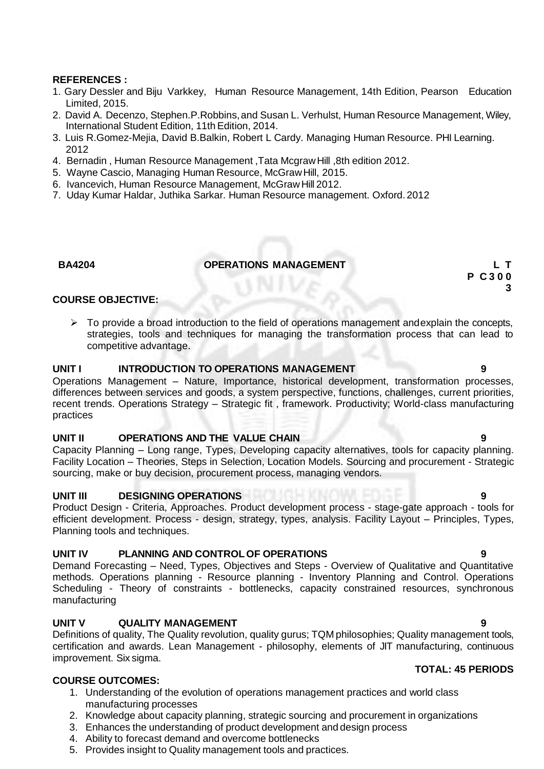#### **REFERENCES :**

- 1. Gary Dessler and Biju Varkkey, Human Resource Management, 14th Edition, Pearson Education Limited, 2015.
- 2. David A. Decenzo, Stephen.P.Robbins,and Susan L. Verhulst, Human Resource Management, Wiley, International Student Edition, 11th Edition, 2014.
- 3. Luis R.Gomez-Mejia, David B.Balkin, Robert L Cardy. Managing Human Resource. PHI Learning. 2012
- 4. Bernadin , Human Resource Management ,Tata McgrawHill ,8th edition 2012.
- 5. Wayne Cascio, Managing Human Resource, McGrawHill, 2015.
- 6. Ivancevich, Human Resource Management, McGrawHill 2012.
- 7. Uday Kumar Haldar, Juthika Sarkar. Human Resource management. Oxford.2012

### **BA4204 OPERATIONS MANAGEMENT L T**

#### **COURSE OBJECTIVE:**

 $\triangleright$  To provide a broad introduction to the field of operations management andexplain the concepts, strategies, tools and techniques for managing the transformation process that can lead to competitive advantage.

#### **UNIT I INTRODUCTION TO OPERATIONS MANAGEMENT 9**

Operations Management – Nature, Importance, historical development, transformation processes, differences between services and goods, a system perspective, functions, challenges, current priorities, recent trends. Operations Strategy – Strategic fit , framework. Productivity; World-class manufacturing practices

#### **UNIT II OPERATIONS AND THE VALUE CHAIN 9**

Capacity Planning – Long range, Types, Developing capacity alternatives, tools for capacity planning. Facility Location – Theories, Steps in Selection, Location Models. Sourcing and procurement - Strategic sourcing, make or buy decision, procurement process, managing vendors.

#### **UNIT III DESIGNING OPERATIONS 9**

Product Design - Criteria, Approaches. Product development process - stage-gate approach - tools for efficient development. Process - design, strategy, types, analysis. Facility Layout – Principles, Types, Planning tools and techniques.

### **UNIT IV PLANNING AND CONTROLOF OPERATIONS 9**

Demand Forecasting – Need, Types, Objectives and Steps - Overview of Qualitative and Quantitative methods. Operations planning - Resource planning - Inventory Planning and Control. Operations Scheduling - Theory of constraints - bottlenecks, capacity constrained resources, synchronous manufacturing

### **UNIT V QUALITY MANAGEMENT 9**

Definitions of quality, The Quality revolution, quality gurus; TQM philosophies; Quality management tools, certification and awards. Lean Management - philosophy, elements of JIT manufacturing, continuous improvement. Six sigma.

#### **COURSE OUTCOMES:**

- 1. Understanding of the evolution of operations management practices and world class manufacturing processes
- 2. Knowledge about capacity planning, strategic sourcing and procurement in organizations
- 3. Enhances the understanding of product development and design process
- 4. Ability to forecast demand and overcome bottlenecks
- 5. Provides insight to Quality management tools and practices.

#### **TOTAL: 45 PERIODS**

### **P C 3 0 0 3**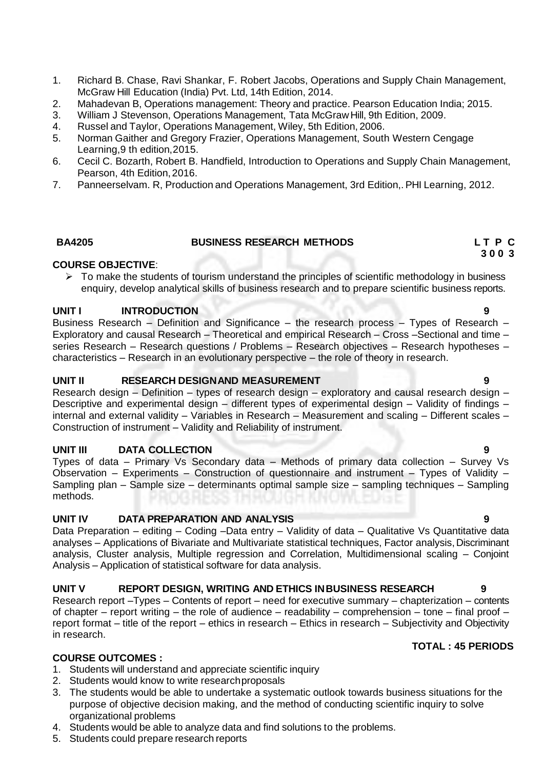- 1. Richard B. Chase, Ravi Shankar, F. Robert Jacobs, Operations and Supply Chain Management, McGraw Hill Education (India) Pvt. Ltd, 14th Edition, 2014.
- 2. Mahadevan B, Operations management: Theory and practice. Pearson Education India; 2015.
- 3. William J Stevenson, Operations Management, Tata McGraw Hill, 9th Edition, 2009.<br>4. Russel and Tavlor. Operations Management. Wiley. 5th Edition. 2006.
- 4. Russel and Taylor, Operations Management, Wiley, 5th Edition, 2006.
- 5. Norman Gaither and Gregory Frazier, Operations Management, South Western Cengage Learning,9 th edition,2015.
- 6. Cecil C. Bozarth, Robert B. Handfield, Introduction to Operations and Supply Chain Management, Pearson, 4th Edition,2016.
- 7. Panneerselvam. R, Production and Operations Management, 3rd Edition,. PHI Learning, 2012.

#### **BA4205 BUSINESS RESEARCH METHODS L T P C**

#### **COURSE OBJECTIVE**:

 $\triangleright$  To make the students of tourism understand the principles of scientific methodology in business enquiry, develop analytical skills of business research and to prepare scientific business reports.

### **UNIT I INTRODUCTION 9**

Business Research – Definition and Significance – the research process – Types of Research – Exploratory and causal Research – Theoretical and empirical Research – Cross –Sectional and time – series Research – Research questions / Problems – Research objectives – Research hypotheses – characteristics – Research in an evolutionary perspective – the role of theory in research.

### **UNIT II RESEARCH DESIGNAND MEASUREMENT 9**

Research design – Definition – types of research design – exploratory and causal research design – Descriptive and experimental design – different types of experimental design – Validity of findings – internal and external validity – Variables in Research – Measurement and scaling – Different scales – Construction of instrument – Validity and Reliability of instrument.

### **UNIT III DATA COLLECTION 9**

Types of data – Primary Vs Secondary data – Methods of primary data collection – Survey Vs Observation – Experiments – Construction of questionnaire and instrument – Types of Validity – Sampling plan – Sample size – determinants optimal sample size – sampling techniques – Sampling methods.

### **UNIT IV DATA PREPARATION AND ANALYSIS 9**

Data Preparation – editing – Coding –Data entry – Validity of data – Qualitative Vs Quantitative data analyses – Applications of Bivariate and Multivariate statistical techniques, Factor analysis, Discriminant analysis, Cluster analysis, Multiple regression and Correlation, Multidimensional scaling – Conjoint Analysis – Application of statistical software for data analysis.

### **UNIT V REPORT DESIGN, WRITING AND ETHICS INBUSINESS RESEARCH 9**

Research report –Types – Contents of report – need for executive summary – chapterization – contents of chapter – report writing – the role of audience – readability – comprehension – tone – final proof – report format – title of the report – ethics in research – Ethics in research – Subjectivity and Objectivity in research.

### **COURSE OUTCOMES :**

- 1. Students will understand and appreciate scientific inquiry
- 2. Students would know to write researchproposals
- 3. The students would be able to undertake a systematic outlook towards business situations for the purpose of objective decision making, and the method of conducting scientific inquiry to solve organizational problems
- 4. Students would be able to analyze data and find solutions to the problems.
- 5. Students could prepare research reports

### **TOTAL : 45 PERIODS**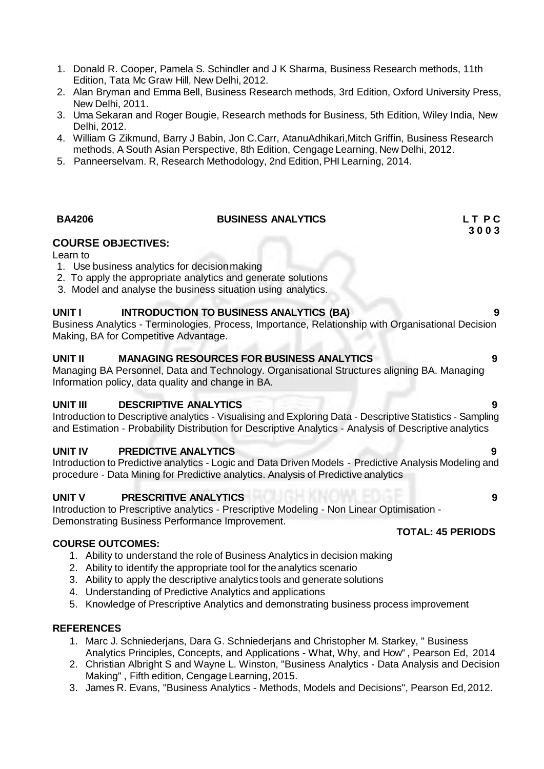- 1. Donald R. Cooper, Pamela S. Schindler and J K Sharma, Business Research methods, 11th Edition, Tata Mc Graw Hill, New Delhi, 2012.
- 2. Alan Bryman and Emma Bell, Business Research methods, 3rd Edition, Oxford University Press, New Delhi, 2011.
- 3. Uma Sekaran and Roger Bougie, Research methods for Business, 5th Edition, Wiley India, New Delhi, 2012.
- 4. William G Zikmund, Barry J Babin, Jon C.Carr, AtanuAdhikari,Mitch Griffin, Business Research methods, A South Asian Perspective, 8th Edition, Cengage Learning, New Delhi, 2012.
- 5. Panneerselvam. R, Research Methodology, 2nd Edition, PHI Learning, 2014.

### **BA4206 BUSINESS ANALYTICS L T P C**

### **COURSE OBJECTIVES:**

Learn to

- 1. Use business analytics for decisionmaking
- 2. To apply the appropriate analytics and generate solutions
- 3. Model and analyse the business situation using analytics.

### **UNIT I INTRODUCTION TO BUSINESS ANALYTICS (BA) 9**

Business Analytics - Terminologies, Process, Importance, Relationship with Organisational Decision Making, BA for Competitive Advantage.

### **UNIT II MANAGING RESOURCES FOR BUSINESS ANALYTICS 9**

Managing BA Personnel, Data and Technology. Organisational Structures aligning BA. Managing Information policy, data quality and change in BA.

### **UNIT III DESCRIPTIVE ANALYTICS 9**

Introduction to Descriptive analytics - Visualising and Exploring Data - Descriptive Statistics - Sampling and Estimation - Probability Distribution for Descriptive Analytics - Analysis of Descriptive analytics

### **UNIT IV PREDICTIVE ANALYTICS 9**

Introduction to Predictive analytics - Logic and Data Driven Models - Predictive Analysis Modeling and procedure - Data Mining for Predictive analytics. Analysis of Predictive analytics

### **UNIT V PRESCRITIVE ANALYTICS 9**

Introduction to Prescriptive analytics - Prescriptive Modeling - Non Linear Optimisation - Demonstrating Business Performance Improvement.

### **COURSE OUTCOMES:**

- 1. Ability to understand the role of Business Analytics in decision making
- 2. Ability to identify the appropriate tool for the analytics scenario
- 3. Ability to apply the descriptive analytics tools and generate solutions
- 4. Understanding of Predictive Analytics and applications
- 5. Knowledge of Prescriptive Analytics and demonstrating business process improvement

### **REFERENCES**

- 1. Marc J. Schniederjans, Dara G. Schniederjans and Christopher M. Starkey, " Business Analytics Principles, Concepts, and Applications - What, Why, and How" , Pearson Ed, 2014
- 2. Christian Albright S and Wayne L. Winston, "Business Analytics Data Analysis and Decision Making" , Fifth edition, Cengage Learning, 2015.
- 3. James R. Evans, "Business Analytics Methods, Models and Decisions", Pearson Ed,2012.

### **TOTAL: 45 PERIODS**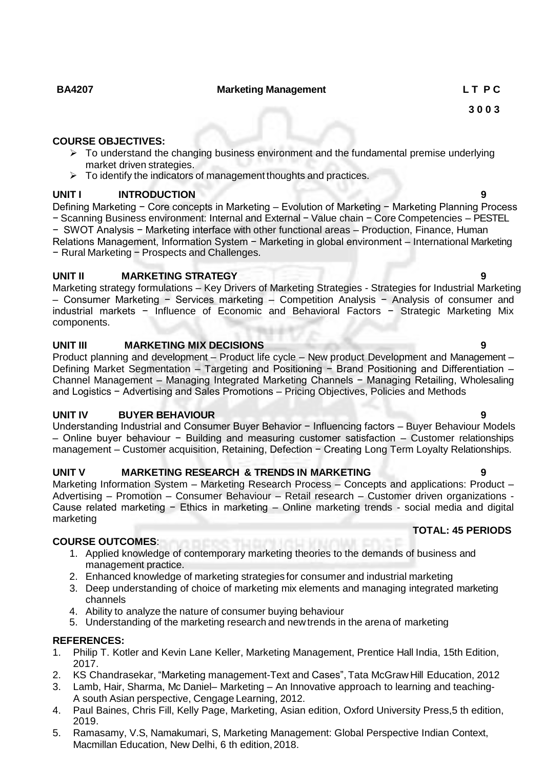#### **BA4207 Marketing Management L T P C**

#### **COURSE OBJECTIVES:**

- $\triangleright$  To understand the changing business environment and the fundamental premise underlying market driven strategies.
- $\triangleright$  To identify the indicators of management thoughts and practices.

### **UNIT I INTRODUCTION 9**

Defining Marketing − Core concepts in Marketing – Evolution of Marketing – Marketing Planning Process − Scanning Business environment: Internal and External − Value chain − Core Competencies – PESTEL − SWOT Analysis − Marketing interface with other functional areas – Production, Finance, Human Relations Management, Information System − Marketing in global environment – International Marketing − Rural Marketing − Prospects and Challenges.

### **UNIT II MARKETING STRATEGY 9**

Marketing strategy formulations – Key Drivers of Marketing Strategies - Strategies for Industrial Marketing – Consumer Marketing − Services marketing – Competition Analysis − Analysis of consumer and industrial markets − Influence of Economic and Behavioral Factors − Strategic Marketing Mix components.

### **UNIT III MARKETING MIX DECISIONS 9**

Product planning and development – Product life cycle – New product Development and Management – Defining Market Segmentation – Targeting and Positioning - Brand Positioning and Differentiation – Channel Management – Managing Integrated Marketing Channels − Managing Retailing, Wholesaling and Logistics − Advertising and Sales Promotions – Pricing Objectives, Policies and Methods

### **UNIT IV BUYER BEHAVIOUR 9**

Understanding Industrial and Consumer Buyer Behavior − Influencing factors – Buyer Behaviour Models – Online buyer behaviour − Building and measuring customer satisfaction – Customer relationships management – Customer acquisition, Retaining, Defection − Creating Long Term Loyalty Relationships.

### **UNIT V MARKETING RESEARCH & TRENDS IN MARKETING 9**

Marketing Information System – Marketing Research Process – Concepts and applications: Product – Advertising – Promotion – Consumer Behaviour – Retail research – Customer driven organizations - Cause related marketing − Ethics in marketing – Online marketing trends - social media and digital marketing

### **COURSE OUTCOMES**:

- 1. Applied knowledge of contemporary marketing theories to the demands of business and management practice.
- 2. Enhanced knowledge of marketing strategies for consumer and industrial marketing
- 3. Deep understanding of choice of marketing mix elements and managing integrated marketing channels
- 4. Ability to analyze the nature of consumer buying behaviour
- 5. Understanding of the marketing research and newtrends in the arena of marketing

### **REFERENCES:**

- 1. Philip T. Kotler and Kevin Lane Keller, Marketing Management, Prentice Hall India, 15th Edition, 2017.
- 2. KS Chandrasekar, "Marketing management-Text and Cases", Tata McGraw Hill Education, 2012
- 3. Lamb, Hair, Sharma, Mc Daniel– Marketing An Innovative approach to learning and teaching-A south Asian perspective, Cengage Learning, 2012.
- 4. Paul Baines, Chris Fill, Kelly Page, Marketing, Asian edition, Oxford University Press,5 th edition, 2019.
- 5. Ramasamy, V.S, Namakumari, S, Marketing Management: Global Perspective Indian Context, Macmillan Education, New Delhi, 6 th edition,2018.

### **TOTAL: 45 PERIODS**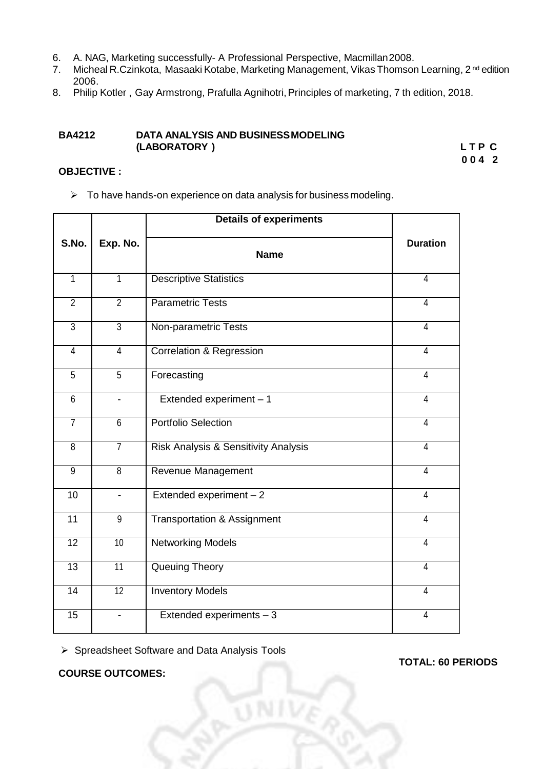- 6. A. NAG, Marketing successfully- A Professional Perspective, Macmillan2008.
- 7. Micheal R.Czinkota, Masaaki Kotabe, Marketing Management, Vikas Thomson Learning, 2<sup>nd</sup> edition 2006.
- 8. Philip Kotler, Gay Armstrong, Prafulla Agnihotri, Principles of marketing, 7 th edition, 2018.

#### **BA4212 DATA ANALYSIS AND BUSINESSMODELING (LABORATORY ) L T P C**

**0 0 4 2**

#### **OBJECTIVE :**

 $\triangleright$  To have hands-on experience on data analysis for business modeling.

|                 |                          | <b>Details of experiments</b>          |                 |  |
|-----------------|--------------------------|----------------------------------------|-----------------|--|
| S.No.           | Exp. No.                 | <b>Name</b>                            | <b>Duration</b> |  |
| $\overline{1}$  | $\overline{1}$           | <b>Descriptive Statistics</b>          | $\overline{4}$  |  |
| $\overline{2}$  | $\overline{2}$           | <b>Parametric Tests</b>                | $\overline{4}$  |  |
| $\overline{3}$  | $\overline{3}$           | Non-parametric Tests                   | $\overline{4}$  |  |
| $\overline{4}$  | 4                        | <b>Correlation &amp; Regression</b>    | $\overline{4}$  |  |
| $\overline{5}$  | $\overline{5}$           | Forecasting                            | $\overline{4}$  |  |
| $\,6\,$         | $\overline{\phantom{0}}$ | Extended experiment - 1                | $\overline{4}$  |  |
| $\overline{7}$  | $\overline{6}$           | <b>Portfolio Selection</b>             | $\overline{4}$  |  |
| $\overline{8}$  | $\overline{7}$           | Risk Analysis & Sensitivity Analysis   | $\overline{4}$  |  |
| $\overline{9}$  | $\overline{8}$           | Revenue Management                     | $\overline{4}$  |  |
| 10              | $\overline{\phantom{0}}$ | Extended experiment - 2                | $\overline{4}$  |  |
| 11              | 9                        | <b>Transportation &amp; Assignment</b> | $\overline{4}$  |  |
| 12              | 10                       | <b>Networking Models</b>               | $\overline{4}$  |  |
| 13              | 11                       | <b>Queuing Theory</b>                  | $\overline{4}$  |  |
| $\overline{14}$ | $\overline{12}$          | <b>Inventory Models</b>                | $\overline{4}$  |  |
| $\overline{15}$ |                          | Extended experiments $-3$              | $\overline{4}$  |  |

Spreadsheet Software and Data Analysis Tools

**TOTAL: 60 PERIODS**

**COURSE OUTCOMES:**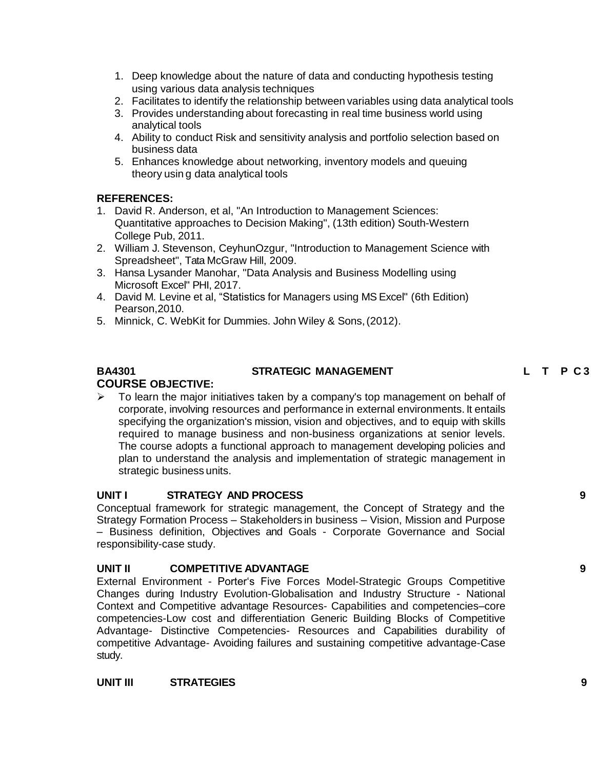- 1. Deep knowledge about the nature of data and conducting hypothesis testing using various data analysis techniques
- 2. Facilitates to identify the relationship between variables using data analytical tools
- 3. Provides understanding about forecasting in real time business world using analytical tools
- 4. Ability to conduct Risk and sensitivity analysis and portfolio selection based on business data
- 5. Enhances knowledge about networking, inventory models and queuing theory usin g data analytical tools

### **REFERENCES:**

- 1. David R. Anderson, et al, "An Introduction to Management Sciences: Quantitative approaches to Decision Making", (13th edition) South-Western College Pub, 2011.
- 2. William J. Stevenson, CeyhunOzgur, "Introduction to Management Science with Spreadsheet", Tata McGraw Hill, 2009.
- 3. Hansa Lysander Manohar, "Data Analysis and Business Modelling using Microsoft Excel" PHI, 2017.
- 4. David M. Levine et al, "Statistics for Managers using MS Excel" (6th Edition) Pearson,2010.
- 5. Minnick, C. WebKit for Dummies. John Wiley & Sons,(2012).

# **COURSE OBJECTIVE:**

### **BA4301 STRATEGIC MANAGEMENT L T P C 3 0 0 3**

# $\triangleright$  To learn the major initiatives taken by a company's top management on behalf of

corporate, involving resources and performance in external environments. It entails specifying the organization's mission, vision and objectives, and to equip with skills required to manage business and non-business organizations at senior levels. The course adopts a functional approach to management developing policies and plan to understand the analysis and implementation of strategic management in strategic business units.

### **UNIT I STRATEGY AND PROCESS 9**

Conceptual framework for strategic management, the Concept of Strategy and the Strategy Formation Process – Stakeholders in business – Vision, Mission and Purpose – Business definition, Objectives and Goals - Corporate Governance and Social responsibility-case study.

### **UNIT II COMPETITIVE ADVANTAGE 9**

External Environment - Porter's Five Forces Model-Strategic Groups Competitive Changes during Industry Evolution-Globalisation and Industry Structure - National Context and Competitive advantage Resources- Capabilities and competencies–core competencies-Low cost and differentiation Generic Building Blocks of Competitive Advantage- Distinctive Competencies- Resources and Capabilities durability of competitive Advantage- Avoiding failures and sustaining competitive advantage-Case study.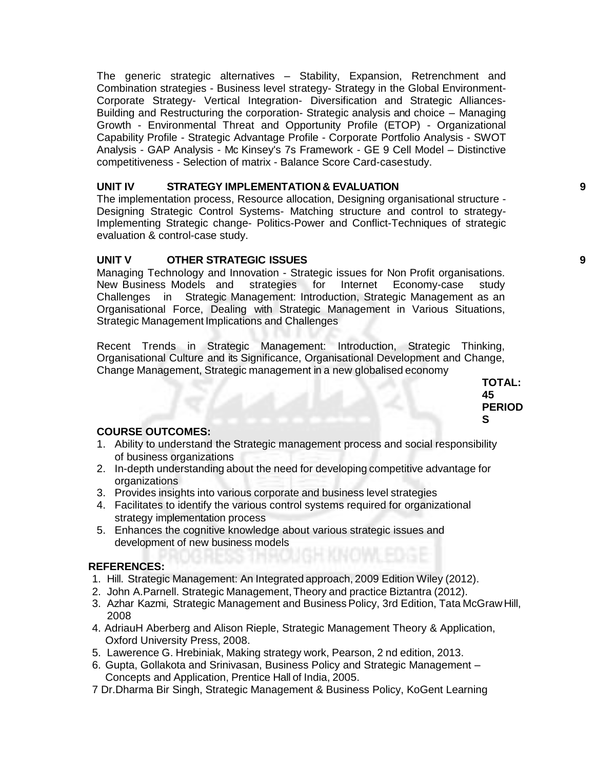The generic strategic alternatives – Stability, Expansion, Retrenchment and Combination strategies - Business level strategy- Strategy in the Global Environment-Corporate Strategy- Vertical Integration- Diversification and Strategic Alliances-Building and Restructuring the corporation- Strategic analysis and choice – Managing Growth - Environmental Threat and Opportunity Profile (ETOP) - Organizational Capability Profile - Strategic Advantage Profile - Corporate Portfolio Analysis - SWOT Analysis - GAP Analysis - Mc Kinsey's 7s Framework - GE 9 Cell Model – Distinctive competitiveness - Selection of matrix - Balance Score Card-casestudy.

### **UNIT IV STRATEGY IMPLEMENTATION& EVALUATION 9**

The implementation process, Resource allocation, Designing organisational structure - Designing Strategic Control Systems- Matching structure and control to strategy-Implementing Strategic change- Politics-Power and Conflict-Techniques of strategic evaluation & control-case study.

### **UNIT V OTHER STRATEGIC ISSUES 9**

Managing Technology and Innovation - Strategic issues for Non Profit organisations. New Business Models and strategies for Internet Economy-case study Challenges in Strategic Management: Introduction, Strategic Management as an Organisational Force, Dealing with Strategic Management in Various Situations, Strategic Management Implications and Challenges

Recent Trends in Strategic Management: Introduction, Strategic Thinking, Organisational Culture and its Significance, Organisational Development and Change, Change Management, Strategic management in a new globalised economy

> **TOTAL: 45 PERIOD S**

### **COURSE OUTCOMES:**

- 1. Ability to understand the Strategic management process and social responsibility of business organizations
- 2. In-depth understanding about the need for developing competitive advantage for organizations
- 3. Provides insights into various corporate and business level strategies
- 4. Facilitates to identify the various control systems required for organizational strategy implementation process
- 5. Enhances the cognitive knowledge about various strategic issues and development of new business models

### **REFERENCES:**

- 1. Hill. Strategic Management: An Integrated approach, 2009 Edition Wiley (2012).
- 2. John A.Parnell. Strategic Management, Theory and practice Biztantra (2012).
- 3. Azhar Kazmi, Strategic Management and Business Policy, 3rd Edition, Tata McGraw Hill, 2008
- 4. AdriauH Aberberg and Alison Rieple, Strategic Management Theory & Application, Oxford University Press, 2008.
- 5. Lawerence G. Hrebiniak, Making strategy work, Pearson, 2 nd edition, 2013.
- 6. Gupta, Gollakota and Srinivasan, Business Policy and Strategic Management Concepts and Application, Prentice Hall of India, 2005.
- 7 Dr.Dharma Bir Singh, Strategic Management & Business Policy, KoGent Learning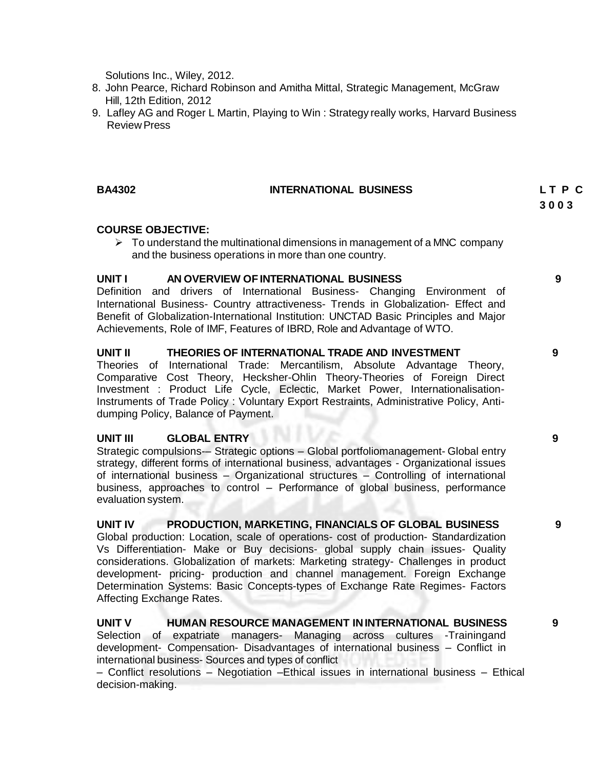Solutions Inc., Wiley, 2012.

- 8. John Pearce, Richard Robinson and Amitha Mittal, Strategic Management, McGraw Hill, 12th Edition, 2012
- 9. Lafley AG and Roger L Martin, Playing to Win : Strategy really works, Harvard Business Review Press

#### **BA4302 INTERNATIONAL BUSINESS L T P C**

**3 0 0 3**

#### **COURSE OBJECTIVE:**

 $\triangleright$  To understand the multinational dimensions in management of a MNC company and the business operations in more than one country.

#### **UNIT I AN OVERVIEW OF INTERNATIONAL BUSINESS 9**

Definition and drivers of International Business- Changing Environment of International Business- Country attractiveness- Trends in Globalization- Effect and Benefit of Globalization-International Institution: UNCTAD Basic Principles and Major Achievements, Role of IMF, Features of IBRD, Role and Advantage of WTO.

#### **UNIT II THEORIES OF INTERNATIONAL TRADE AND INVESTMENT 9**

Theories of International Trade: Mercantilism, Absolute Advantage Theory, Comparative Cost Theory, Hecksher-Ohlin Theory-Theories of Foreign Direct Investment : Product Life Cycle, Eclectic, Market Power, Internationalisation-Instruments of Trade Policy : Voluntary Export Restraints, Administrative Policy, Antidumping Policy, Balance of Payment.

#### **UNIT III GLOBAL ENTRY 9**

Strategic compulsions-– Strategic options – Global portfoliomanagement- Global entry strategy, different forms of international business, advantages - Organizational issues of international business – Organizational structures – Controlling of international business, approaches to control – Performance of global business, performance evaluation system.

#### **UNIT IV PRODUCTION, MARKETING, FINANCIALS OF GLOBAL BUSINESS 9**

Global production: Location, scale of operations- cost of production- Standardization Vs Differentiation- Make or Buy decisions- global supply chain issues- Quality considerations. Globalization of markets: Marketing strategy- Challenges in product development- pricing- production and channel management. Foreign Exchange Determination Systems: Basic Concepts-types of Exchange Rate Regimes- Factors Affecting Exchange Rates.

#### **UNIT V HUMAN RESOURCE MANAGEMENT ININTERNATIONAL BUSINESS 9**

Selection of expatriate managers- Managing across cultures -Trainingand development- Compensation- Disadvantages of international business – Conflict in international business- Sources and types of conflict

– Conflict resolutions – Negotiation –Ethical issues in international business – Ethical decision-making.